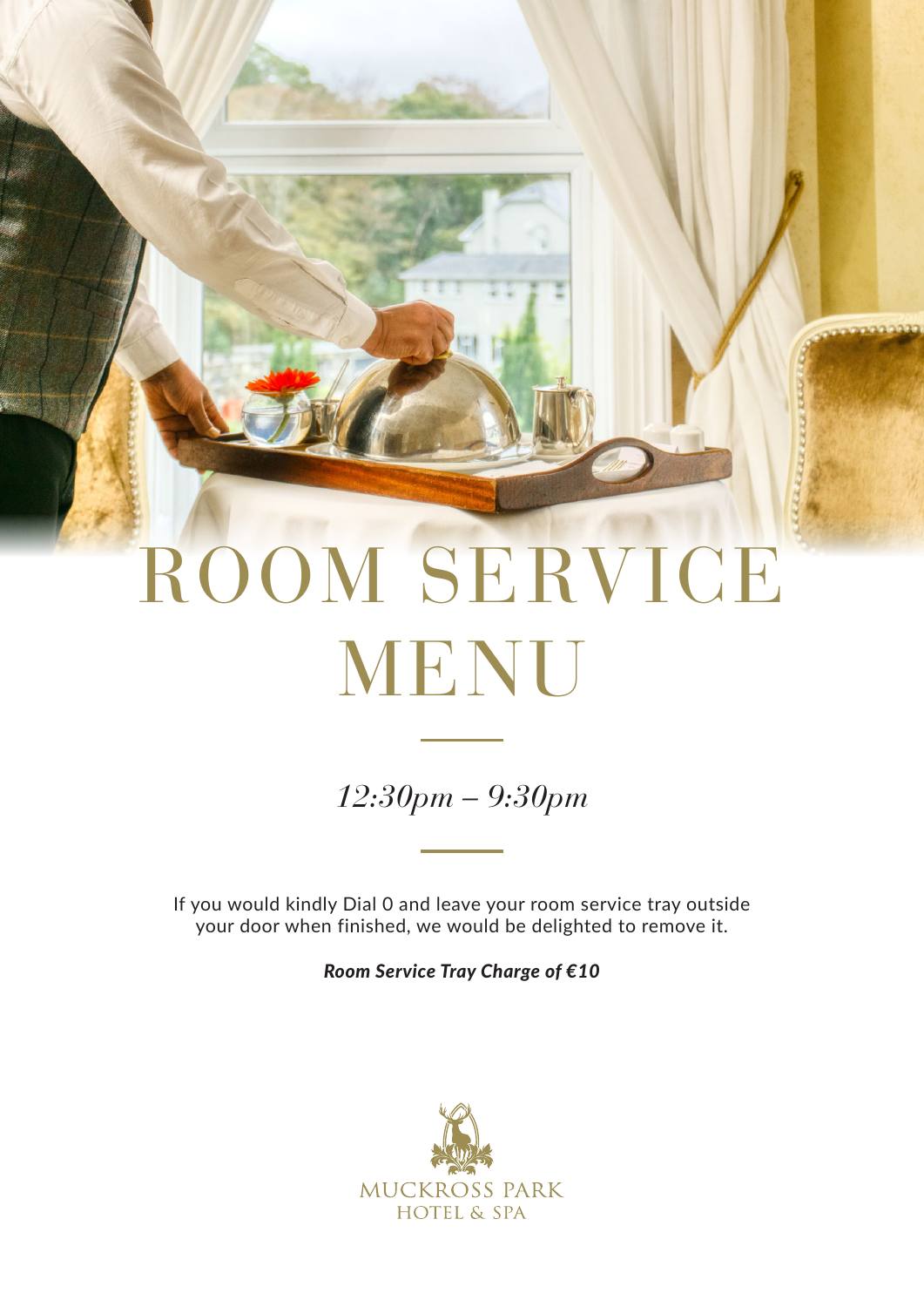# ROOM SERVICE MENU

*12:30pm – 9:30pm*

If you would kindly Dial 0 and leave your room service tray outside your door when finished, we would be delighted to remove it.

*Room Service Tray Charge of €10*

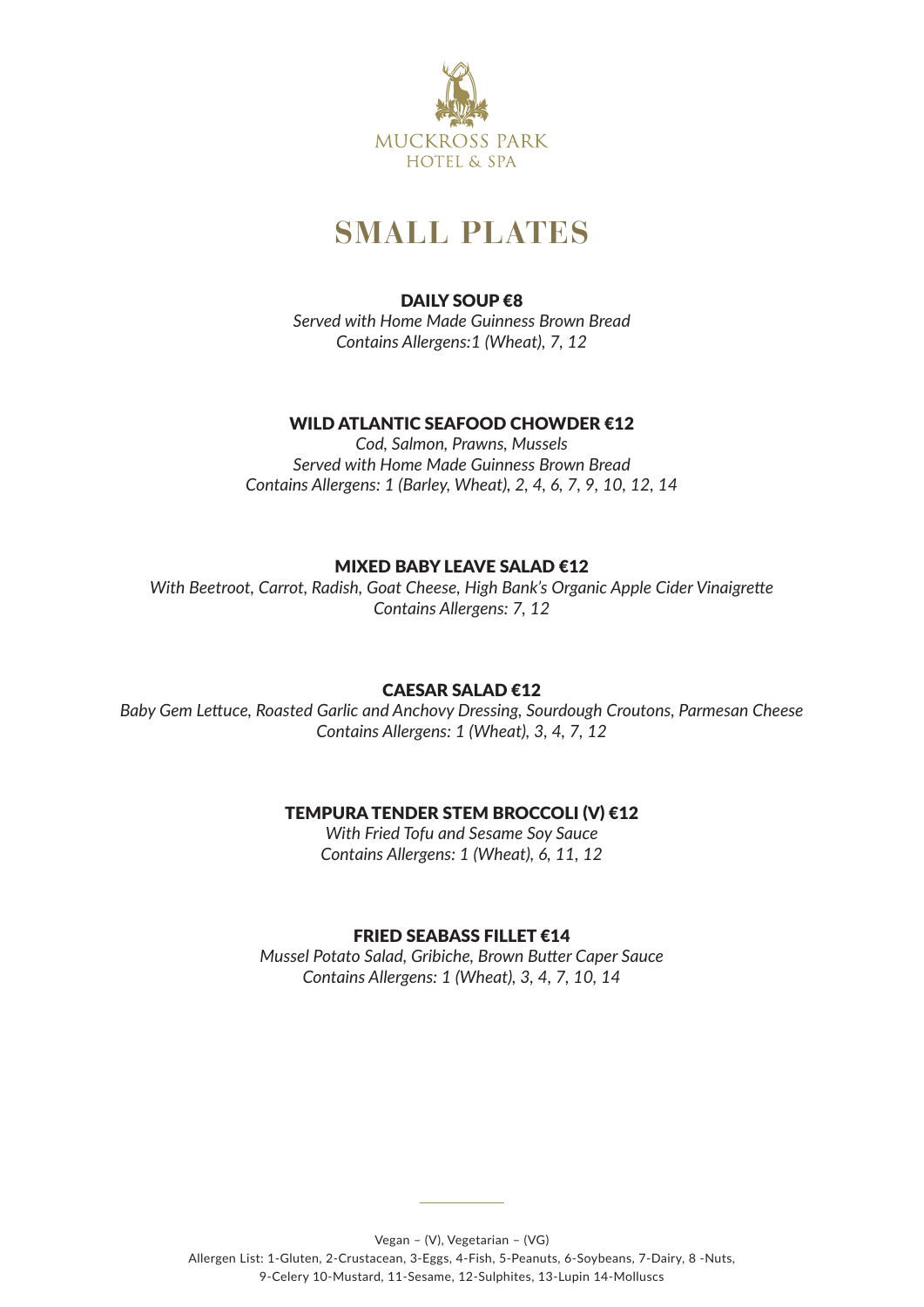

# **SMALL PLATES**

# DAILY SOUP €8

*Served with Home Made Guinness Brown Bread Contains Allergens:1 (Wheat), 7, 12* 

# WILD ATLANTIC SFAFOOD CHOWDFR €12

*Cod, Salmon, Prawns, Mussels Served with Home Made Guinness Brown Bread Contains Allergens: 1 (Barley, Wheat), 2, 4, 6, 7, 9, 10, 12, 14*

# MIXED BABY LEAVE SALAD €12

*With Beetroot, Carrot, Radish, Goat Cheese, High Bank's Organic Apple Cider Vinaigrette Contains Allergens: 7, 12*

# CAESAR SALAD €12

*Baby Gem Lettuce, Roasted Garlic and Anchovy Dressing, Sourdough Croutons, Parmesan Cheese Contains Allergens: 1 (Wheat), 3, 4, 7, 12*

# TEMPURA TENDER STEM BROCCOLI (V) €12

*With Fried Tofu and Sesame Soy Sauce Contains Allergens: 1 (Wheat), 6, 11, 12*

# FRIED SEABASS FILLET €14

*Mussel Potato Salad, Gribiche, Brown Butter Caper Sauce Contains Allergens: 1 (Wheat), 3, 4, 7, 10, 14*

Vegan – (V), Vegetarian – (VG)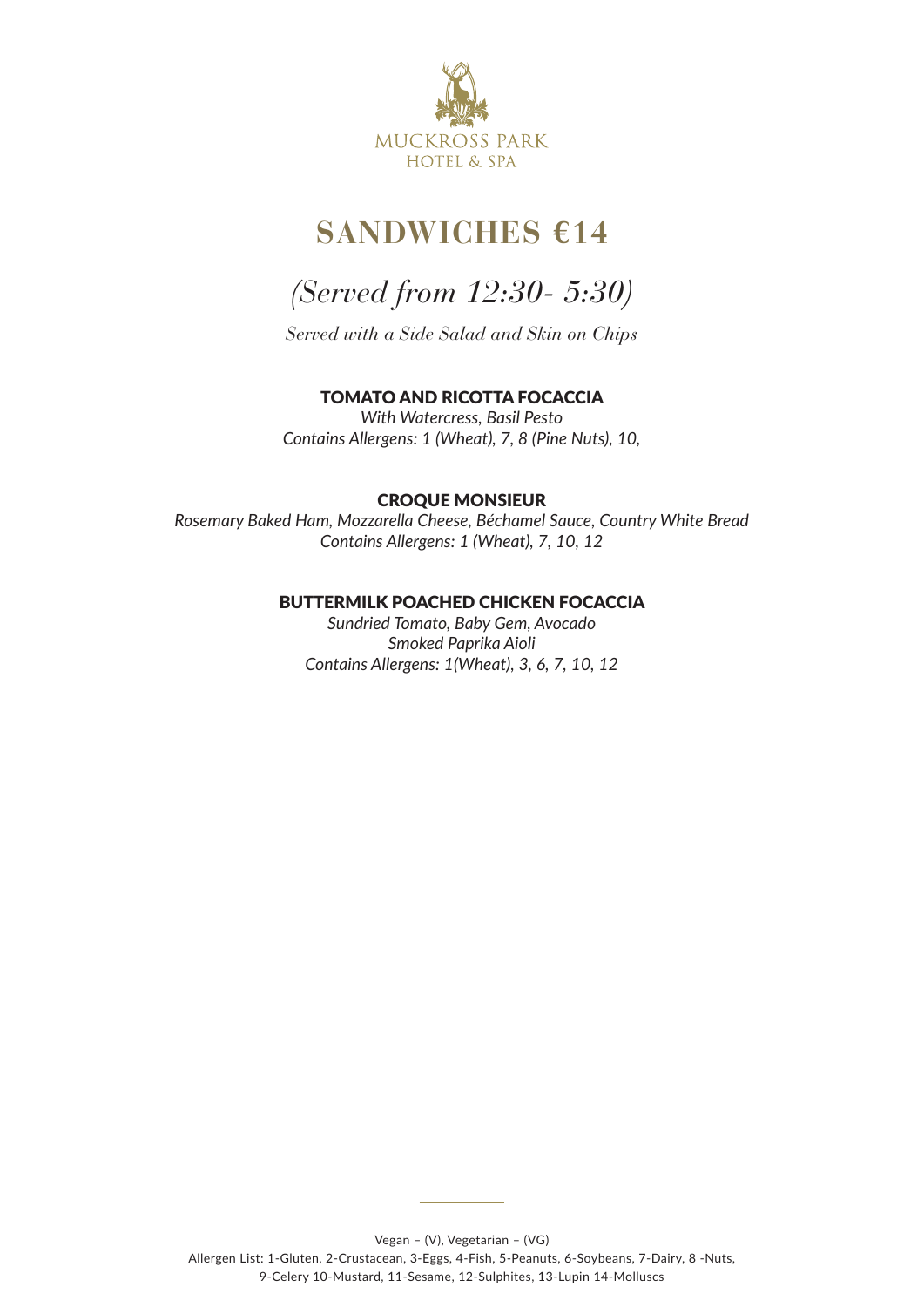

# **SANDWICHES €14**

# *(Served from 12:30- 5:30)*

*Served with a Side Salad and Skin on Chips*

# TOMATO AND RICOTTA FOCACCIA

*With Watercress, Basil Pesto Contains Allergens: 1 (Wheat), 7, 8 (Pine Nuts), 10,* 

# CROQUE MONSIEUR

*Rosemary Baked Ham, Mozzarella Cheese, Béchamel Sauce, Country White Bread Contains Allergens: 1 (Wheat), 7, 10, 12* 

# BUTTERMILK POACHED CHICKEN FOCACCIA

*Sundried Tomato, Baby Gem, Avocado Smoked Paprika Aioli Contains Allergens: 1(Wheat), 3, 6, 7, 10, 12*

Allergen List: 1-Gluten, 2-Crustacean, 3-Eggs, 4-Fish, 5-Peanuts, 6-Soybeans, 7-Dairy, 8 -Nuts, 9-Celery 10-Mustard, 11-Sesame, 12-Sulphites, 13-Lupin 14-Molluscs

Vegan – (V), Vegetarian – (VG)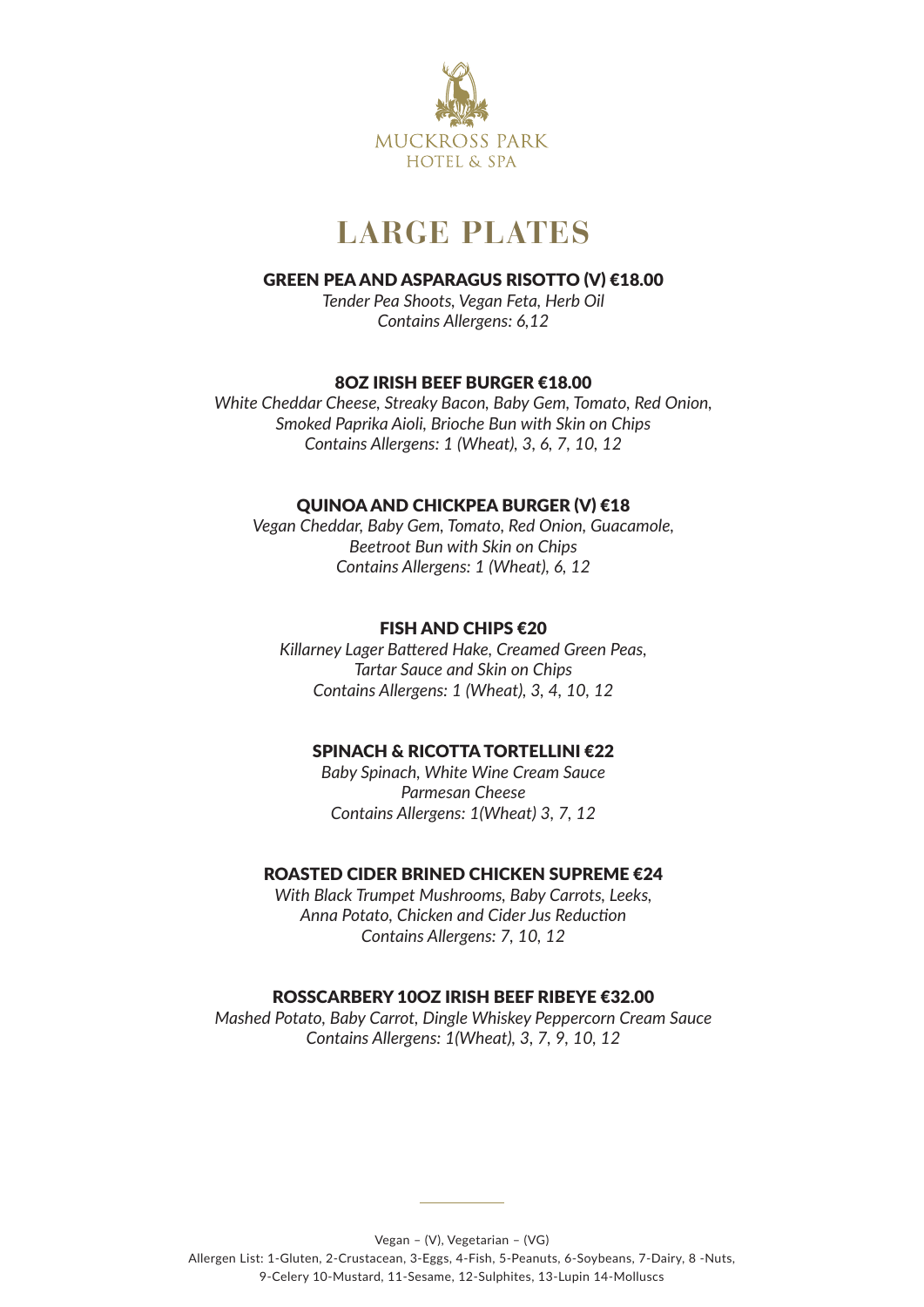

# **LARGE PLATES**

#### GREEN PEA AND ASPARAGUS RISOTTO (V) €18.00

*Tender Pea Shoots, Vegan Feta, Herb Oil Contains Allergens: 6,12*

#### 8OZ IRISH BEEF BURGER €18.00

*White Cheddar Cheese, Streaky Bacon, Baby Gem, Tomato, Red Onion, Smoked Paprika Aioli, Brioche Bun with Skin on Chips Contains Allergens: 1 (Wheat), 3, 6, 7, 10, 12*

# QUINOA AND CHICKPEA BURGER (V) €18

*Vegan Cheddar, Baby Gem, Tomato, Red Onion, Guacamole, Beetroot Bun with Skin on Chips Contains Allergens: 1 (Wheat), 6, 12*

#### FISH AND CHIPS €20

*Killarney Lager Battered Hake, Creamed Green Peas, Tartar Sauce and Skin on Chips Contains Allergens: 1 (Wheat), 3, 4, 10, 12*

# SPINACH & RICOTTA TORTELLINI €22

*Baby Spinach, White Wine Cream Sauce Parmesan Cheese Contains Allergens: 1(Wheat) 3, 7, 12*

#### ROASTED CIDER BRINED CHICKEN SUPREME €24

*With Black Trumpet Mushrooms, Baby Carrots, Leeks, Anna Potato, Chicken and Cider Jus Reduction Contains Allergens: 7, 10, 12*

# ROSSCARBERY 10OZ IRISH BEEF RIBEYE €32.00

*Mashed Potato, Baby Carrot, Dingle Whiskey Peppercorn Cream Sauce Contains Allergens: 1(Wheat), 3, 7, 9, 10, 12*

Vegan – (V), Vegetarian – (VG)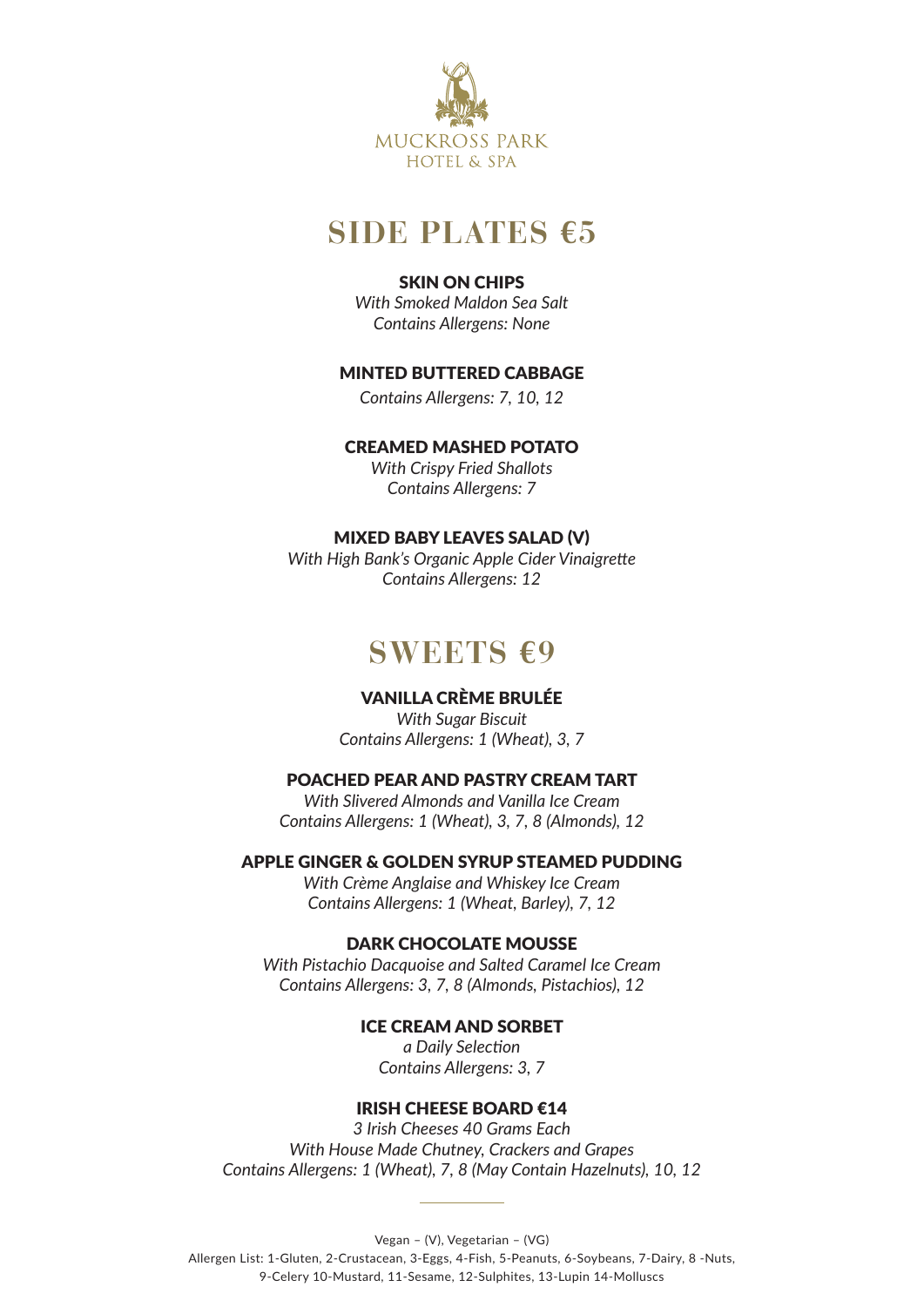

# **SIDE PLATES €5**

# SKIN ON CHIPS

*With Smoked Maldon Sea Salt Contains Allergens: None*

# MINTED BUTTERED CABBAGE

*Contains Allergens: 7, 10, 12*

#### CREAMED MASHED POTATO

*With Crispy Fried Shallots Contains Allergens: 7*

# MIXED BABY LEAVES SALAD (V)

*With High Bank's Organic Apple Cider Vinaigrette Contains Allergens: 12*

# **SWEETS €9**

# VANILLA CRÈME BRULÉE

*With Sugar Biscuit Contains Allergens: 1 (Wheat), 3, 7*

## POACHED PEAR AND PASTRY CREAM TART

*With Slivered Almonds and Vanilla Ice Cream Contains Allergens: 1 (Wheat), 3, 7, 8 (Almonds), 12*

# APPLE GINGER & GOLDEN SYRUP STEAMED PUDDING

*With Crème Anglaise and Whiskey Ice Cream Contains Allergens: 1 (Wheat, Barley), 7, 12*

#### DARK CHOCOLATE MOUSSE

*With Pistachio Dacquoise and Salted Caramel Ice Cream Contains Allergens: 3, 7, 8 (Almonds, Pistachios), 12*

#### ICE CREAM AND SORBET

*a Daily Selection Contains Allergens: 3, 7*

#### IRISH CHEESE BOARD €14

*3 Irish Cheeses 40 Grams Each With House Made Chutney, Crackers and Grapes Contains Allergens: 1 (Wheat), 7, 8 (May Contain Hazelnuts), 10, 12* 

Vegan – (V), Vegetarian – (VG)